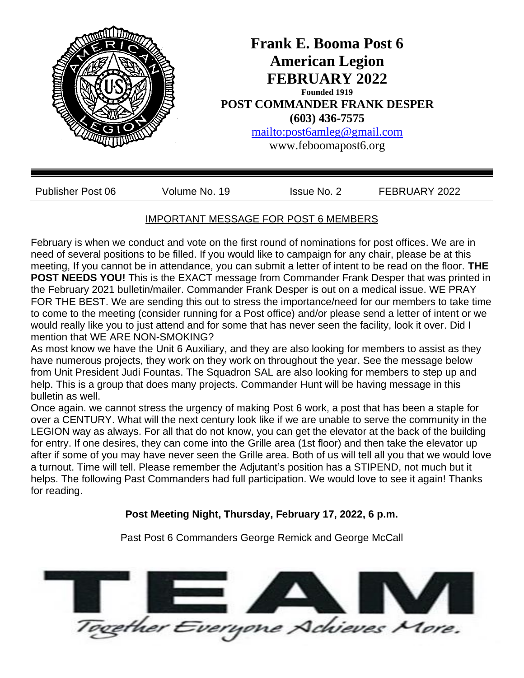

# IMPORTANT MESSAGE FOR POST 6 MEMBERS

February is when we conduct and vote on the first round of nominations for post offices. We are in need of several positions to be filled. If you would like to campaign for any chair, please be at this meeting, If you cannot be in attendance, you can submit a letter of intent to be read on the floor. **THE POST NEEDS YOU!** This is the EXACT message from Commander Frank Desper that was printed in the February 2021 bulletin/mailer. Commander Frank Desper is out on a medical issue. WE PRAY FOR THE BEST. We are sending this out to stress the importance/need for our members to take time to come to the meeting (consider running for a Post office) and/or please send a letter of intent or we would really like you to just attend and for some that has never seen the facility, look it over. Did I mention that WE ARE NON-SMOKING?

As most know we have the Unit 6 Auxiliary, and they are also looking for members to assist as they have numerous projects, they work on they work on throughout the year. See the message below from Unit President Judi Fountas. The Squadron SAL are also looking for members to step up and help. This is a group that does many projects. Commander Hunt will be having message in this bulletin as well.

Once again. we cannot stress the urgency of making Post 6 work, a post that has been a staple for over a CENTURY. What will the next century look like if we are unable to serve the community in the LEGION way as always. For all that do not know, you can get the elevator at the back of the building for entry. If one desires, they can come into the Grille area (1st floor) and then take the elevator up after if some of you may have never seen the Grille area. Both of us will tell all you that we would love a turnout. Time will tell. Please remember the Adjutant's position has a STIPEND, not much but it helps. The following Past Commanders had full participation. We would love to see it again! Thanks for reading.

### **Post Meeting Night, Thursday, February 17, 2022, 6 p.m.**

Past Post 6 Commanders George Remick and George McCall

rether Everyone Achieves More.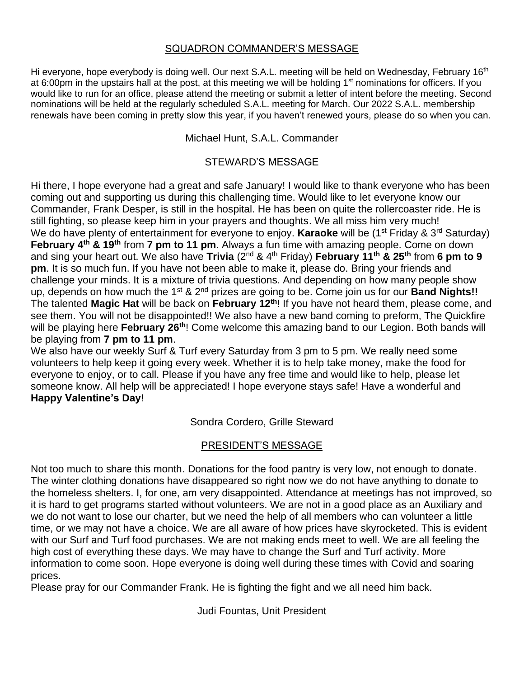#### SQUADRON COMMANDER'S MESSAGE

Hi everyone, hope everybody is doing well. Our next S.A.L. meeting will be held on Wednesday, February 16<sup>th</sup> at 6:00pm in the upstairs hall at the post, at this meeting we will be holding 1<sup>st</sup> nominations for officers. If you would like to run for an office, please attend the meeting or submit a letter of intent before the meeting. Second nominations will be held at the regularly scheduled S.A.L. meeting for March. Our 2022 S.A.L. membership renewals have been coming in pretty slow this year, if you haven't renewed yours, please do so when you can.

Michael Hunt, S.A.L. Commander

## STEWARD'S MESSAGE

Hi there, I hope everyone had a great and safe January! I would like to thank everyone who has been coming out and supporting us during this challenging time. Would like to let everyone know our Commander, Frank Desper, is still in the hospital. He has been on quite the rollercoaster ride. He is still fighting, so please keep him in your prayers and thoughts. We all miss him very much! We do have plenty of entertainment for everyone to enjoy. **Karaoke** will be (1<sup>st</sup> Friday & 3<sup>rd</sup> Saturday) **February 4th & 19th** from **7 pm to 11 pm**. Always a fun time with amazing people. Come on down and sing your heart out. We also have **Trivia** (2nd & 4th Friday) **February 11th & 25th** from **6 pm to 9 pm**. It is so much fun. If you have not been able to make it, please do. Bring your friends and challenge your minds. It is a mixture of trivia questions. And depending on how many people show up, depends on how much the 1st & 2nd prizes are going to be. Come join us for our **Band Nights!!**  The talented **Magic Hat** will be back on **February 12th**! If you have not heard them, please come, and see them. You will not be disappointed!! We also have a new band coming to preform, The Quickfire will be playing here **February 26th**! Come welcome this amazing band to our Legion. Both bands will be playing from **7 pm to 11 pm**.

We also have our weekly Surf & Turf every Saturday from 3 pm to 5 pm. We really need some volunteers to help keep it going every week. Whether it is to help take money, make the food for everyone to enjoy, or to call. Please if you have any free time and would like to help, please let someone know. All help will be appreciated! I hope everyone stays safe! Have a wonderful and **Happy Valentine's Day**!

Sondra Cordero, Grille Steward

### PRESIDENT'S MESSAGE

Not too much to share this month. Donations for the food pantry is very low, not enough to donate. The winter clothing donations have disappeared so right now we do not have anything to donate to the homeless shelters. I, for one, am very disappointed. Attendance at meetings has not improved, so it is hard to get programs started without volunteers. We are not in a good place as an Auxiliary and we do not want to lose our charter, but we need the help of all members who can volunteer a little time, or we may not have a choice. We are all aware of how prices have skyrocketed. This is evident with our Surf and Turf food purchases. We are not making ends meet to well. We are all feeling the high cost of everything these days. We may have to change the Surf and Turf activity. More information to come soon. Hope everyone is doing well during these times with Covid and soaring prices.

Please pray for our Commander Frank. He is fighting the fight and we all need him back.

Judi Fountas, Unit President